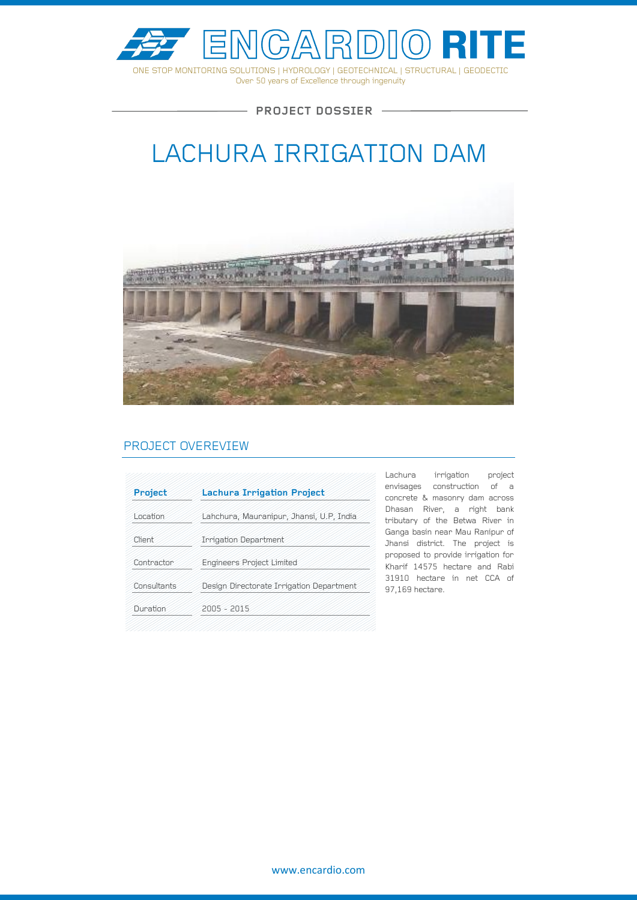

Over 50 years of Excellence through ingenuity

 $-$  PROJECT DOSSIER  $-$ 

# LACHURA IRRIGATION DAM



### PROJECT OVEREVIEW

| Project     | <b>Lachura Irrigation Project</b>        |
|-------------|------------------------------------------|
| Location    | Lahchura, Mauranipur, Jhansi, U.P. India |
| Client      | <b>Irrigation Department</b>             |
| Contractor  | <b>Engineers Project Limited</b>         |
| Consultants | Design Directorate Irrigation Department |
| Duration    | $2005 - 2015$                            |

Lachura irrigation project envisages construction of a concrete & masonry dam across Dhasan River, a right bank tributary of the Betwa River in Ganga basin near Mau Ranipur of Jhansi district. The project is proposed to provide irrigation for Kharif 14575 hectare and Rabi 31910 hectare in net CCA of 97,169 hectare.